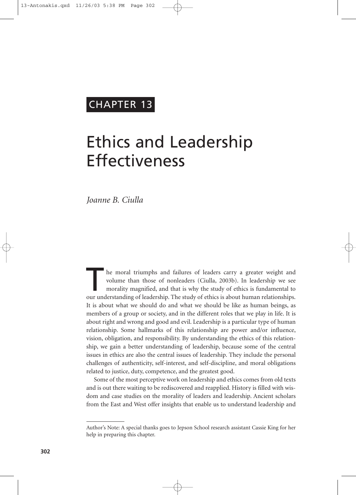## CHAPTER 13

# Ethics and Leadership Effectiveness

*Joanne B. Ciulla*

he moral triumphs and failures of leaders carry a greater weight and volume than those of nonleaders (Ciulla, 2003b). In leadership we see morality magnified, and that is why the study of ethics is fundamental to our understanding of leadership. The study of ethics is about human relationships. It is about what we should do and what we should be like as human beings, as members of a group or society, and in the different roles that we play in life. It is about right and wrong and good and evil. Leadership is a particular type of human relationship. Some hallmarks of this relationship are power and/or influence, vision, obligation, and responsibility. By understanding the ethics of this relationship, we gain a better understanding of leadership, because some of the central issues in ethics are also the central issues of leadership. They include the personal challenges of authenticity, self-interest, and self-discipline, and moral obligations related to justice, duty, competence, and the greatest good.

Some of the most perceptive work on leadership and ethics comes from old texts and is out there waiting to be rediscovered and reapplied. History is filled with wisdom and case studies on the morality of leaders and leadership. Ancient scholars from the East and West offer insights that enable us to understand leadership and

Author's Note: A special thanks goes to Jepson School research assistant Cassie King for her help in preparing this chapter.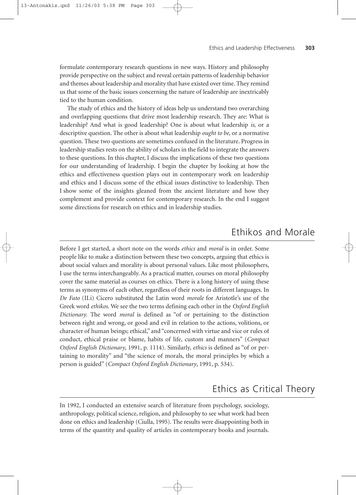formulate contemporary research questions in new ways. History and philosophy provide perspective on the subject and reveal certain patterns of leadership behavior and themes about leadership and morality that have existed over time. They remind us that some of the basic issues concerning the nature of leadership are inextricably tied to the human condition.

The study of ethics and the history of ideas help us understand two overarching and overlapping questions that drive most leadership research. They are: What is leadership? And what is good leadership? One is about what leadership *is,* or a descriptive question. The other is about what leadership *ought to be,* or a normative question. These two questions are sometimes confused in the literature. Progress in leadership studies rests on the ability of scholars in the field to integrate the answers to these questions. In this chapter, I discuss the implications of these two questions for our understanding of leadership. I begin the chapter by looking at how the ethics and effectiveness question plays out in contemporary work on leadership and ethics and I discuss some of the ethical issues distinctive to leadership. Then I show some of the insights gleaned from the ancient literature and how they complement and provide context for contemporary research. In the end I suggest some directions for research on ethics and in leadership studies.

### Ethikos and Morale

Before I get started, a short note on the words *ethics* and *moral* is in order. Some people like to make a distinction between these two concepts, arguing that ethics is about social values and morality is about personal values. Like most philosophers, I use the terms interchangeably. As a practical matter, courses on moral philosophy cover the same material as courses on ethics. There is a long history of using these terms as synonyms of each other, regardless of their roots in different languages. In *De Fato* (II.i) Cicero substituted the Latin word *morale* for Aristotle's use of the Greek word *ethikos.* We see the two terms defining each other in the *Oxford English Dictionary.* The word *moral* is defined as "of or pertaining to the distinction between right and wrong, or good and evil in relation to the actions, volitions, or character of human beings; ethical," and "concerned with virtue and vice or rules of conduct, ethical praise or blame, habits of life, custom and manners" (*Compact Oxford English Dictionary*, 1991, p. 1114). Similarly, *ethics* is defined as "of or pertaining to morality" and "the science of morals, the moral principles by which a person is guided" (*Compact Oxford English Dictionary*, 1991, p. 534).

### Ethics as Critical Theory

In 1992, I conducted an extensive search of literature from psychology, sociology, anthropology, political science, religion, and philosophy to see what work had been done on ethics and leadership (Ciulla, 1995). The results were disappointing both in terms of the quantity and quality of articles in contemporary books and journals.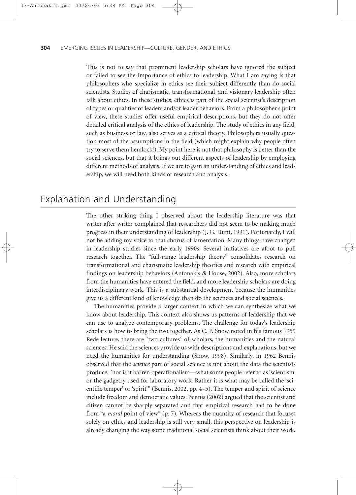This is not to say that prominent leadership scholars have ignored the subject or failed to see the importance of ethics to leadership. What I am saying is that philosophers who specialize in ethics see their subject differently than do social scientists. Studies of charismatic, transformational, and visionary leadership often talk about ethics. In these studies, ethics is part of the social scientist's description of types or qualities of leaders and/or leader behaviors. From a philosopher's point of view, these studies offer useful empirical descriptions, but they do not offer detailed critical analysis of the ethics of leadership. The study of ethics in any field, such as business or law, also serves as a critical theory. Philosophers usually question most of the assumptions in the field (which might explain why people often try to serve them hemlock!). My point here is not that philosophy is better than the social sciences, but that it brings out different aspects of leadership by employing different methods of analysis. If we are to gain an understanding of ethics and leadership, we will need both kinds of research and analysis.

### Explanation and Understanding

The other striking thing I observed about the leadership literature was that writer after writer complained that researchers did not seem to be making much progress in their understanding of leadership (J. G. Hunt, 1991). Fortunately, I will not be adding my voice to that chorus of lamentation. Many things have changed in leadership studies since the early 1990s. Several initiatives are afoot to pull research together. The "full-range leadership theory" consolidates research on transformational and charismatic leadership theories and research with empirical findings on leadership behaviors (Antonakis & House, 2002). Also, more scholars from the humanities have entered the field, and more leadership scholars are doing interdisciplinary work. This is a substantial development because the humanities give us a different kind of knowledge than do the sciences and social sciences.

The humanities provide a larger context in which we can synthesize what we know about leadership. This context also shows us patterns of leadership that we can use to analyze contemporary problems. The challenge for today's leadership scholars is how to bring the two together. As C. P. Snow noted in his famous 1959 Rede lecture, there are "two cultures" of scholars, the humanities and the natural sciences. He said the sciences provide us with descriptions and explanations, but we need the humanities for understanding (Snow, 1998). Similarly, in 1962 Bennis observed that the *science* part of social science is not about the data the scientists produce, "nor is it barren operationalism—what some people refer to as 'scientism' or the gadgetry used for laboratory work. Rather it is what may be called the 'scientific temper' or 'spirit'" (Bennis, 2002, pp. 4–5). The temper and spirit of science include freedom and democratic values. Bennis (2002) argued that the scientist and citizen cannot be sharply separated and that empirical research had to be done from "a *moral* point of view" (p. 7). Whereas the quantity of research that focuses solely on ethics and leadership is still very small, this perspective on leadership is already changing the way some traditional social scientists think about their work.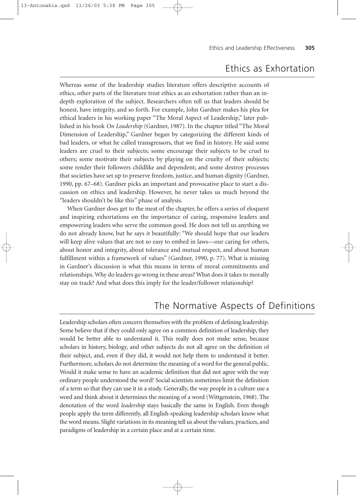### Ethics as Exhortation

Whereas some of the leadership studies literature offers descriptive accounts of ethics, other parts of the literature treat ethics as an exhortation rather than an indepth exploration of the subject. Researchers often tell us that leaders should be honest, have integrity, and so forth. For example, John Gardner makes his plea for ethical leaders in his working paper "The Moral Aspect of Leadership," later published in his book *On Leadership* (Gardner, 1987). In the chapter titled "The Moral Dimension of Leadership," Gardner began by categorizing the different kinds of bad leaders, or what he called transgressors, that we find in history. He said some leaders are cruel to their subjects; some encourage their subjects to be cruel to others; some motivate their subjects by playing on the cruelty of their subjects; some render their followers childlike and dependent; and some destroy processes that societies have set up to preserve freedom, justice, and human dignity (Gardner, 1990, pp. 67–68). Gardner picks an important and provocative place to start a discussion on ethics and leadership. However, he never takes us much beyond the "leaders shouldn't be like this" phase of analysis.

When Gardner does get to the meat of the chapter, he offers a series of eloquent and inspiring exhortations on the importance of caring, responsive leaders and empowering leaders who serve the common good. He does not tell us anything we do not already know, but he says it beautifully: "We should hope that our leaders will keep alive values that are not so easy to embed in laws—our caring for others, about honor and integrity, about tolerance and mutual respect, and about human fulfillment within a framework of values" (Gardner, 1990, p. 77). What is missing in Gardner's discussion is what this means in terms of moral commitments and relationships. Why do leaders go wrong in these areas? What does it takes to morally stay on track? And what does this imply for the leader/follower relationship?

### The Normative Aspects of Definitions

Leadership scholars often concern themselves with the problem of defining leadership. Some believe that if they could only agree on a common definition of leadership, they would be better able to understand it. This really does not make sense, because scholars in history, biology, and other subjects do not all agree on the definition of their subject, and, even if they did, it would not help them to understand it better. Furthermore, scholars do not determine the meaning of a word for the general public. Would it make sense to have an academic definition that did not agree with the way ordinary people understood the word? Social scientists sometimes limit the definition of a term so that they can use it in a study. Generally, the way people in a culture use a word and think about it determines the meaning of a word (Wittgenstein, 1968). The denotation of the word *leadership* stays basically the same in English. Even though people apply the term differently, all English-speaking leadership scholars know what the word means. Slight variations in its meaning tell us about the values, practices, and paradigms of leadership in a certain place and at a certain time.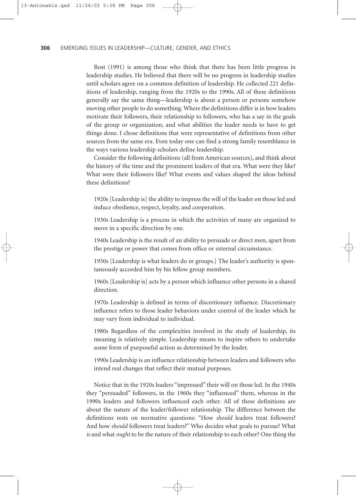Rost (1991) is among those who think that there has been little progress in leadership studies. He believed that there will be no progress in leadership studies until scholars agree on a common definition of leadership. He collected 221 definitions of leadership, ranging from the 1920s to the 1990s. All of these definitions generally say the same thing—leadership is about a person or persons somehow moving other people to do something. Where the definitions differ is in how leaders motivate their followers, their relationship to followers, who has a say in the goals of the group or organization, and what abilities the leader needs to have to get things done. I chose definitions that were representative of definitions from other sources from the same era. Even today one can find a strong family resemblance in the ways various leadership scholars define leadership.

Consider the following definitions (all from American sources), and think about the history of the time and the prominent leaders of that era. What were they like? What were their followers like? What events and values shaped the ideas behind these definitions?

1920s [Leadership is] the ability to impress the will of the leader on those led and induce obedience, respect, loyalty, and cooperation.

1930s Leadership is a process in which the activities of many are organized to move in a specific direction by one.

1940s Leadership is the result of an ability to persuade or direct men, apart from the prestige or power that comes from office or external circumstance.

1950s [Leadership is what leaders do in groups.] The leader's authority is spontaneously accorded him by his fellow group members.

1960s [Leadership is] acts by a person which influence other persons in a shared direction.

1970s Leadership is defined in terms of discretionary influence. Discretionary influence refers to those leader behaviors under control of the leader which he may vary from individual to individual.

1980s Regardless of the complexities involved in the study of leadership, its meaning is relatively simple. Leadership means to inspire others to undertake some form of purposeful action as determined by the leader.

1990s Leadership is an influence relationship between leaders and followers who intend real changes that reflect their mutual purposes.

Notice that in the 1920s leaders "impressed" their will on those led. In the 1940s they "persuaded" followers, in the 1960s they "influenced" them, whereas in the 1990s leaders and followers influenced each other. All of these definitions are about the nature of the leader/follower relationship. The difference between the definitions rests on normative questions: "How *should* leaders treat followers? And how *should* followers treat leaders?" Who decides what goals to pursue? What *is* and what *ought* to be the nature of their relationship to each other? One thing the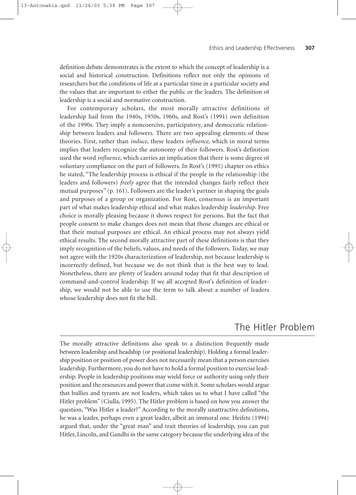definition debate demonstrates is the extent to which the concept of leadership is a social and historical construction. Definitions reflect not only the opinions of researchers but the conditions of life at a particular time in a particular society and the values that are important to either the public or the leaders. The definition of leadership is a social and normative construction.

For contemporary scholars, the most morally attractive definitions of leadership hail from the 1940s, 1950s, 1960s, and Rost's (1991) own definition of the 1990s. They imply a noncoercive, participatory, and democratic relationship between leaders and followers. There are two appealing elements of these theories. First, rather than *induce,* these leaders *influence,* which in moral terms implies that leaders recognize the autonomy of their followers. Rost's definition used the word *influence,* which carries an implication that there is some degree of voluntary compliance on the part of followers. In Rost's (1991) chapter on ethics he stated, "The leadership process is ethical if the people in the relationship (the leaders and followers) *freely* agree that the intended changes fairly reflect their mutual purposes" (p. 161). Followers are the leader's partner in shaping the goals and purposes of a group or organization. For Rost, consensus is an important part of what makes leadership ethical and what makes leadership *leadership.* Free choice is morally pleasing because it shows respect for persons. But the fact that people consent to make changes does not mean that those changes are ethical or that their mutual purposes are ethical. An ethical process may not always yield ethical results. The second morally attractive part of these definitions is that they imply recognition of the beliefs, values, and needs of the followers. Today, we may not agree with the 1920s characterization of leadership, not because leadership is incorrectly defined, but because we do not think that is the best way to lead. Nonetheless, there are plenty of leaders around today that fit that description of command-and-control leadership. If we all accepted Rost's definition of leadership, we would not be able to use the term to talk about a number of leaders whose leadership does not fit the bill.

### The Hitler Problem

The morally attractive definitions also speak to a distinction frequently made between leadership and headship (or positional leadership). Holding a formal leadership position or position of power does not necessarily mean that a person exercises leadership. Furthermore, you do not have to hold a formal position to exercise leadership. People in leadership positions may wield force or authority using only their position and the resources and power that come with it. Some scholars would argue that bullies and tyrants are not leaders, which takes us to what I have called "the Hitler problem" (Ciulla, 1995). The Hitler problem is based on how you answer the question, "Was Hitler a leader?" According to the morally unattractive definitions, he was a leader, perhaps even a great leader, albeit an immoral one. Heifetz (1994) argued that, under the "great man" and trait theories of leadership, you can put Hitler, Lincoln, and Gandhi in the same category because the underlying idea of the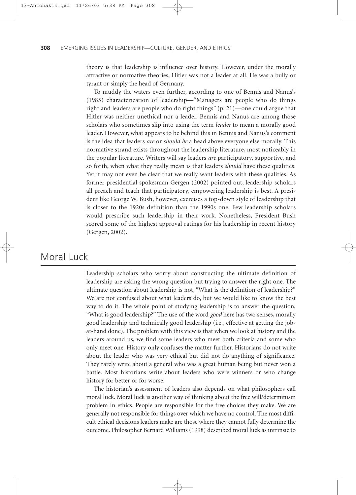theory is that leadership is influence over history. However, under the morally attractive or normative theories, Hitler was not a leader at all. He was a bully or tyrant or simply the head of Germany.

To muddy the waters even further, according to one of Bennis and Nanus's (1985) characterization of leadership—"Managers are people who do things right and leaders are people who do right things" (p. 21)—one could argue that Hitler was neither unethical nor a leader. Bennis and Nanus are among those scholars who sometimes slip into using the term *leader* to mean a morally good leader. However, what appears to be behind this in Bennis and Nanus's comment is the idea that leaders *are* or *should be* a head above everyone else morally. This normative strand exists throughout the leadership literature, most noticeably in the popular literature. Writers will say leaders *are* participatory, supportive, and so forth, when what they really mean is that leaders *should* have these qualities. Yet it may not even be clear that we really want leaders with these qualities. As former presidential spokesman Gergen (2002) pointed out, leadership scholars all preach and teach that participatory, empowering leadership is best. A president like George W. Bush, however, exercises a top-down style of leadership that is closer to the 1920s definition than the 1990s one. Few leadership scholars would prescribe such leadership in their work. Nonetheless, President Bush scored some of the highest approval ratings for his leadership in recent history (Gergen, 2002).

### Moral Luck

Leadership scholars who worry about constructing the ultimate definition of leadership are asking the wrong question but trying to answer the right one. The ultimate question about leadership is not, "What is the definition of leadership?" We are not confused about what leaders do, but we would like to know the best way to do it. The whole point of studying leadership is to answer the question, "What is good leadership?" The use of the word *good* here has two senses, morally good leadership and technically good leadership (i.e., effective at getting the jobat-hand done). The problem with this view is that when we look at history and the leaders around us, we find some leaders who meet both criteria and some who only meet one. History only confuses the matter further. Historians do not write about the leader who was very ethical but did not do anything of significance. They rarely write about a general who was a great human being but never won a battle. Most historians write about leaders who were winners or who change history for better or for worse.

The historian's assessment of leaders also depends on what philosophers call moral luck. Moral luck is another way of thinking about the free will/determinism problem in ethics. People are responsible for the free choices they make. We are generally not responsible for things over which we have no control. The most difficult ethical decisions leaders make are those where they cannot fully determine the outcome. Philosopher Bernard Williams (1998) described moral luck as intrinsic to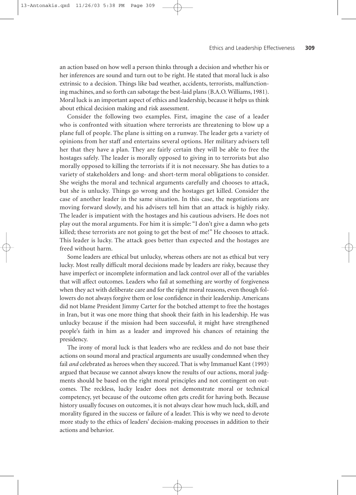an action based on how well a person thinks through a decision and whether his or her inferences are sound and turn out to be right. He stated that moral luck is also extrinsic to a decision. Things like bad weather, accidents, terrorists, malfunctioning machines, and so forth can sabotage the best-laid plans (B.A.O. Williams, 1981). Moral luck is an important aspect of ethics and leadership, because it helps us think about ethical decision making and risk assessment.

Consider the following two examples. First, imagine the case of a leader who is confronted with situation where terrorists are threatening to blow up a plane full of people. The plane is sitting on a runway. The leader gets a variety of opinions from her staff and entertains several options. Her military advisers tell her that they have a plan. They are fairly certain they will be able to free the hostages safely. The leader is morally opposed to giving in to terrorists but also morally opposed to killing the terrorists if it is not necessary. She has duties to a variety of stakeholders and long- and short-term moral obligations to consider. She weighs the moral and technical arguments carefully and chooses to attack, but she is unlucky. Things go wrong and the hostages get killed. Consider the case of another leader in the same situation. In this case, the negotiations are moving forward slowly, and his advisers tell him that an attack is highly risky. The leader is impatient with the hostages and his cautious advisers. He does not play out the moral arguments. For him it is simple: "I don't give a damn who gets killed; these terrorists are not going to get the best of me!" He chooses to attack. This leader is lucky. The attack goes better than expected and the hostages are freed without harm.

Some leaders are ethical but unlucky, whereas others are not as ethical but very lucky. Most really difficult moral decisions made by leaders are risky, because they have imperfect or incomplete information and lack control over all of the variables that will affect outcomes. Leaders who fail at something are worthy of forgiveness when they act with deliberate care and for the right moral reasons, even though followers do not always forgive them or lose confidence in their leadership. Americans did not blame President Jimmy Carter for the botched attempt to free the hostages in Iran, but it was one more thing that shook their faith in his leadership. He was unlucky because if the mission had been successful, it might have strengthened people's faith in him as a leader and improved his chances of retaining the presidency.

The irony of moral luck is that leaders who are reckless and do not base their actions on sound moral and practical arguments are usually condemned when they fail *and* celebrated as heroes when they succeed. That is why Immanuel Kant (1993) argued that because we cannot always know the results of our actions, moral judgments should be based on the right moral principles and not contingent on outcomes. The reckless, lucky leader does not demonstrate moral or technical competency, yet because of the outcome often gets credit for having both. Because history usually focuses on outcomes, it is not always clear how much luck, skill, and morality figured in the success or failure of a leader. This is why we need to devote more study to the ethics of leaders' decision-making processes in addition to their actions and behavior.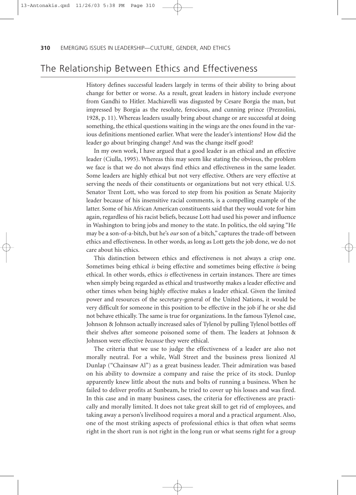#### 13-Antonakis.qxd 11/26/03 5:38 PM Page 310

#### **310** EMERGING ISSUES IN LEADERSHIP-CULTURE, GENDER, AND ETHICS

### The Relationship Between Ethics and Effectiveness

History defines successful leaders largely in terms of their ability to bring about change for better or worse. As a result, great leaders in history include everyone from Gandhi to Hitler. Machiavelli was disgusted by Cesare Borgia the man, but impressed by Borgia as the resolute, ferocious, and cunning prince (Prezzolini, 1928, p. 11). Whereas leaders usually bring about change or are successful at doing something, the ethical questions waiting in the wings are the ones found in the various definitions mentioned earlier. What were the leader's intentions? How did the leader go about bringing change? And was the change itself good?

In my own work, I have argued that a good leader is an ethical and an effective leader (Ciulla, 1995). Whereas this may seem like stating the obvious, the problem we face is that we do not always find ethics and effectiveness in the same leader. Some leaders are highly ethical but not very effective. Others are very effective at serving the needs of their constituents or organizations but not very ethical. U.S. Senator Trent Lott, who was forced to step from his position as Senate Majority leader because of his insensitive racial comments, is a compelling example of the latter. Some of his African American constituents said that they would vote for him again, regardless of his racist beliefs, because Lott had used his power and influence in Washington to bring jobs and money to the state. In politics, the old saying "He may be a son-of-a-bitch, but he's *our* son of a bitch," captures the trade-off between ethics and effectiveness. In other words, as long as Lott gets the job done, we do not care about his ethics.

This distinction between ethics and effectiveness is not always a crisp one. Sometimes being ethical *is* being effective and sometimes being effective *is* being ethical. In other words, ethics *is* effectiveness in certain instances. There are times when simply being regarded as ethical and trustworthy makes a leader effective and other times when being highly effective makes a leader ethical. Given the limited power and resources of the secretary-general of the United Nations, it would be very difficult for someone in this position to be effective in the job if he or she did not behave ethically. The same is true for organizations. In the famous Tylenol case, Johnson & Johnson actually increased sales of Tylenol by pulling Tylenol bottles off their shelves after someone poisoned some of them. The leaders at Johnson & Johnson were effective *because* they were ethical.

The criteria that we use to judge the effectiveness of a leader are also not morally neutral. For a while, Wall Street and the business press lionized Al Dunlap ("Chainsaw Al") as a great business leader. Their admiration was based on his ability to downsize a company and raise the price of its stock. Dunlop apparently knew little about the nuts and bolts of running a business. When he failed to deliver profits at Sunbeam, he tried to cover up his losses and was fired. In this case and in many business cases, the criteria for effectiveness are practically and morally limited. It does not take great skill to get rid of employees, and taking away a person's livelihood requires a moral and a practical argument. Also, one of the most striking aspects of professional ethics is that often what seems right in the short run is not right in the long run or what seems right for a group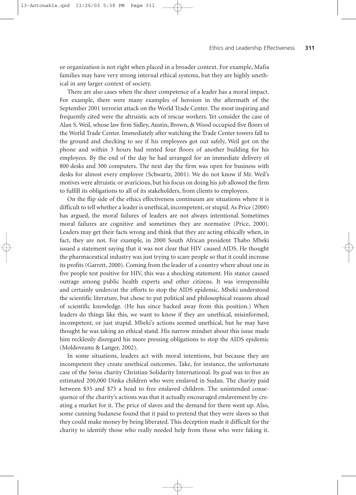or organization is not right when placed in a broader context. For example, Mafia families may have very strong internal ethical systems, but they are highly unethical in any larger context of society.

There are also cases when the sheer competence of a leader has a moral impact. For example, there were many examples of heroism in the aftermath of the September 2001 terrorist attack on the World Trade Center. The most inspiring and frequently cited were the altruistic acts of rescue workers. Yet consider the case of Alan S. Weil, whose law firm Sidley, Austin, Brown, & Wood occupied five floors of the World Trade Center. Immediately after watching the Trade Center towers fall to the ground and checking to see if his employees got out safely, Weil got on the phone and within 3 hours had rented four floors of another building for his employees. By the end of the day he had arranged for an immediate delivery of 800 desks and 300 computers. The next day the firm was open for business with desks for almost every employee (Schwartz, 2001). We do not know if Mr. Weil's motives were altruistic or avaricious, but his focus on doing his job allowed the firm to fulfill its obligations to all of its stakeholders, from clients to employees.

On the flip side of the ethics effectiveness continuum are situations where it is difficult to tell whether a leader is unethical, incompetent, or stupid. As Price (2000) has argued, the moral failures of leaders are not always intentional. Sometimes moral failures are cognitive and sometimes they are normative (Price, 2000). Leaders may get their facts wrong and think that they are acting ethically when, in fact, they are not. For example, in 2000 South African president Thabo Mbeki issued a statement saying that it was not clear that HIV caused AIDS. He thought the pharmaceutical industry was just trying to scare people so that it could increase its profits (Garrett, 2000). Coming from the leader of a country where about one in five people test positive for HIV, this was a shocking statement. His stance caused outrage among public health experts and other citizens. It was irresponsible and certainly undercut the efforts to stop the AIDS epidemic. Mbeki understood the scientific literature, but chose to put political and philosophical reasons ahead of scientific knowledge. (He has since backed away from this position.) When leaders do things like this, we want to know if they are unethical, misinformed, incompetent, or just stupid. Mbeki's actions seemed unethical, but he may have thought he was taking an ethical stand. His narrow mindset about this issue made him recklessly disregard his more pressing obligations to stop the AIDS epidemic (Moldoveanu & Langer, 2002).

In some situations, leaders act with moral intentions, but because they are incompetent they create unethical outcomes. Take, for instance, the unfortunate case of the Swiss charity Christian Solidarity International. Its goal was to free an estimated 200,000 Dinka children who were enslaved in Sudan. The charity paid between \$35 and \$75 a head to free enslaved children. The unintended consequence of the charity's actions was that it actually encouraged enslavement by creating a market for it. The price of slaves and the demand for them went up. Also, some cunning Sudanese found that it paid to pretend that they were slaves so that they could make money by being liberated. This deception made it difficult for the charity to identify those who really needed help from those who were faking it.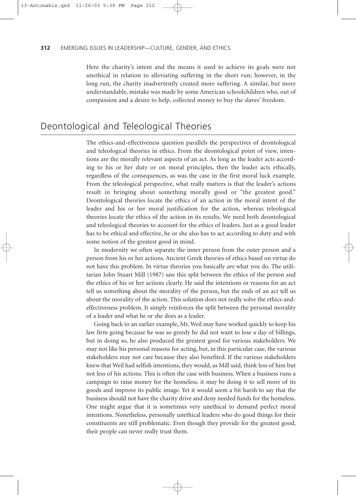Here the charity's intent and the means it used to achieve its goals were not unethical in relation to alleviating suffering in the short run; however, in the long run, the charity inadvertently created more suffering. A similar, but more understandable, mistake was made by some American schoolchildren who, out of compassion and a desire to help, collected money to buy the slaves' freedom.

### Deontological and Teleological Theories

The ethics-and-effectiveness question parallels the perspectives of deontological and teleological theories in ethics. From the deontological point of view, intentions are the morally relevant aspects of an act. As long as the leader acts according to his or her duty or on moral principles, then the leader acts ethically, regardless of the consequences, as was the case in the first moral luck example. From the teleological perspective, what really matters is that the leader's actions result in bringing about something morally good or "the greatest good." Deontological theories locate the ethics of an action in the moral intent of the leader and his or her moral justification for the action, whereas teleological theories locate the ethics of the action in its results. We need both deontological and teleological theories to account for the ethics of leaders. Just as a good leader has to be ethical and effective, he or she also has to act according to duty and with some notion of the greatest good in mind.

In modernity we often separate the inner person from the outer person and a person from his or her actions. Ancient Greek theories of ethics based on virtue do not have this problem. In virtue theories you basically *are* what you do. The utilitarian John Stuart Mill (1987) saw this split between the ethics of the person and the ethics of his or her actions clearly. He said the intentions or reasons for an act tell us something about the morality of the person, but the ends of an act tell us about the morality of the action. This solution does not really solve the ethics-andeffectiveness problem. It simply reinforces the split between the personal morality of a leader and what he or she does as a leader.

Going back to an earlier example, Mr. Weil may have worked quickly to keep his law firm going because he was so greedy he did not want to lose a day of billings, but in doing so, he also produced the greatest good for various stakeholders. We may not like his personal reasons for acting, but, in this particular case, the various stakeholders may not care because they also benefited. If the various stakeholders knew that Weil had selfish intentions, they would, as Mill said, think less of him but not less of his actions. This is often the case with business. When a business runs a campaign to raise money for the homeless, it may be doing it to sell more of its goods and improve its public image. Yet it would seem a bit harsh to say that the business should not have the charity drive and deny needed funds for the homeless. One might argue that it is sometimes very unethical to demand perfect moral intentions. Nonetheless, personally unethical leaders who do good things for their constituents are still problematic. Even though they provide for the greatest good, their people can never really trust them.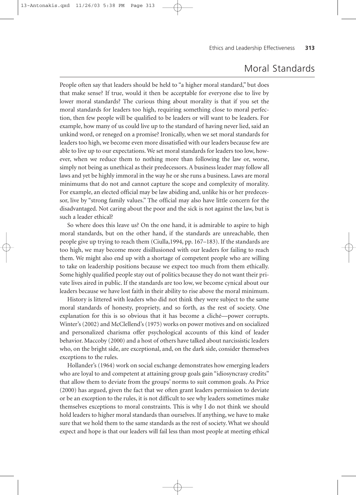### Moral Standards

People often say that leaders should be held to "a higher moral standard," but does that make sense? If true, would it then be acceptable for everyone else to live by lower moral standards? The curious thing about morality is that if you set the moral standards for leaders too high, requiring something close to moral perfection, then few people will be qualified to be leaders or will want to be leaders. For example, how many of us could live up to the standard of having never lied, said an unkind word, or reneged on a promise? Ironically, when we set moral standards for leaders too high, we become even more dissatisfied with our leaders because few are able to live up to our expectations. We set moral standards for leaders too low, however, when we reduce them to nothing more than following the law or, worse, simply not being as unethical as their predecessors. A business leader may follow all laws and yet be highly immoral in the way he or she runs a business. Laws are moral minimums that do not and cannot capture the scope and complexity of morality. For example, an elected official may be law abiding and, unlike his or her predecessor, live by "strong family values." The official may also have little concern for the disadvantaged. Not caring about the poor and the sick is not against the law, but is such a leader ethical?

So where does this leave us? On the one hand, it is admirable to aspire to high moral standards, but on the other hand, if the standards are unreachable, then people give up trying to reach them (Ciulla,1994, pp. 167–183). If the standards are too high, we may become more disillusioned with our leaders for failing to reach them. We might also end up with a shortage of competent people who are willing to take on leadership positions because we expect too much from them ethically. Some highly qualified people stay out of politics because they do not want their private lives aired in public. If the standards are too low, we become cynical about our leaders because we have lost faith in their ability to rise above the moral minimum.

History is littered with leaders who did not think they were subject to the same moral standards of honesty, propriety, and so forth, as the rest of society. One explanation for this is so obvious that it has become a cliché—power corrupts. Winter's (2002) and McClellend's (1975) works on power motives and on socialized and personalized charisma offer psychological accounts of this kind of leader behavior. Maccoby (2000) and a host of others have talked about narcissistic leaders who, on the bright side, are exceptional, and, on the dark side, consider themselves exceptions to the rules.

Hollander's (1964) work on social exchange demonstrates how emerging leaders who are loyal to and competent at attaining group goals gain "idiosyncrasy credits" that allow them to deviate from the groups' norms to suit common goals. As Price (2000) has argued, given the fact that we often grant leaders permission to deviate or be an exception to the rules, it is not difficult to see why leaders sometimes make themselves exceptions to moral constraints. This is why I do not think we should hold leaders to higher moral standards than ourselves. If anything, we have to make sure that we hold them to the same standards as the rest of society. What we should expect and hope is that our leaders will fail less than most people at meeting ethical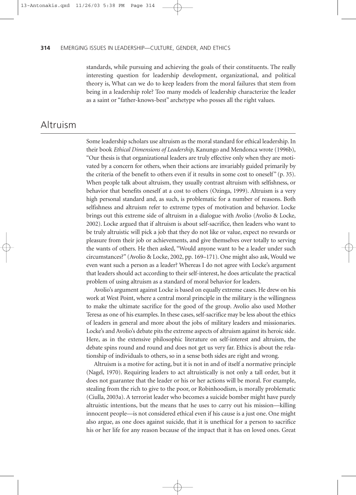standards, while pursuing and achieving the goals of their constituents. The really interesting question for leadership development, organizational, and political theory is, What can we do to keep leaders from the moral failures that stem from being in a leadership role? Too many models of leadership characterize the leader as a saint or "father-knows-best" archetype who posses all the right values.

### Altruism

Some leadership scholars use altruism as the moral standard for ethical leadership. In their book *Ethical Dimensions of Leadership,* Kanungo and Mendonca wrote (1996b), "Our thesis is that organizational leaders are truly effective only when they are motivated by a concern for others, when their actions are invariably guided primarily by the criteria of the benefit to others even if it results in some cost to oneself" (p. 35). When people talk about altruism, they usually contrast altruism with selfishness, or behavior that benefits oneself at a cost to others (Ozinga, 1999). Altruism is a very high personal standard and, as such, is problematic for a number of reasons. Both selfishness and altruism refer to extreme types of motivation and behavior. Locke brings out this extreme side of altruism in a dialogue with Avolio (Avolio & Locke, 2002). Locke argued that if altruism is about self-sacrifice, then leaders who want to be truly altruistic will pick a job that they do not like or value, expect no rewards or pleasure from their job or achievements, and give themselves over totally to serving the wants of others. He then asked, "Would anyone want to be a leader under such circumstances?" (Avolio & Locke, 2002, pp. 169–171). One might also ask, Would we even want such a person as a leader? Whereas I do not agree with Locke's argument that leaders should act according to their self-interest, he does articulate the practical problem of using altruism as a standard of moral behavior for leaders.

Avolio's argument against Locke is based on equally extreme cases. He drew on his work at West Point, where a central moral principle in the military is the willingness to make the ultimate sacrifice for the good of the group. Avolio also used Mother Teresa as one of his examples. In these cases, self-sacrifice may be less about the ethics of leaders in general and more about the jobs of military leaders and missionaries. Locke's and Avolio's debate pits the extreme aspects of altruism against its heroic side. Here, as in the extensive philosophic literature on self-interest and altruism, the debate spins round and round and does not get us very far. Ethics is about the relationship of individuals to others, so in a sense both sides are right and wrong.

Altruism is a motive for acting, but it is not in and of itself a normative principle (Nagel, 1970). Requiring leaders to act altruistically is not only a tall order, but it does not guarantee that the leader or his or her actions will be moral. For example, stealing from the rich to give to the poor, or Robinhoodism, is morally problematic (Ciulla, 2003a). A terrorist leader who becomes a suicide bomber might have purely altruistic intentions, but the means that he uses to carry out his mission—killing innocent people—is not considered ethical even if his cause is a just one. One might also argue, as one does against suicide, that it is unethical for a person to sacrifice his or her life for any reason because of the impact that it has on loved ones. Great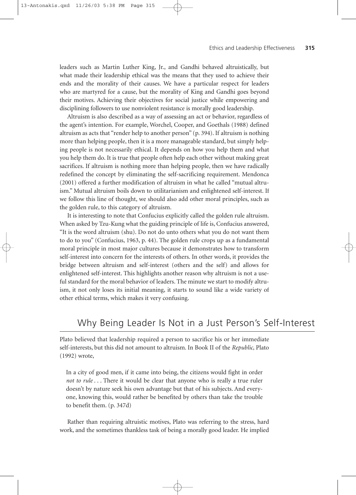leaders such as Martin Luther King, Jr., and Gandhi behaved altruistically, but what made their leadership ethical was the means that they used to achieve their ends and the morality of their causes. We have a particular respect for leaders who are martyred for a cause, but the morality of King and Gandhi goes beyond their motives. Achieving their objectives for social justice while empowering and disciplining followers to use nonviolent resistance is morally good leadership.

Altruism is also described as a way of assessing an act or behavior, regardless of the agent's intention. For example, Worchel, Cooper, and Goethals (1988) defined altruism as acts that "render help to another person" (p. 394). If altruism is nothing more than helping people, then it is a more manageable standard, but simply helping people is not necessarily ethical. It depends on how you help them and what you help them do. It is true that people often help each other without making great sacrifices. If altruism is nothing more than helping people, then we have radically redefined the concept by eliminating the self-sacrificing requirement. Mendonca (2001) offered a further modification of altruism in what he called "mutual altruism." Mutual altruism boils down to utilitarianism and enlightened self-interest. If we follow this line of thought, we should also add other moral principles, such as the golden rule, to this category of altruism.

It is interesting to note that Confucius explicitly called the golden rule altruism. When asked by Tzu-Kung what the guiding principle of life is, Confucius answered, "It is the word altruism (shu). Do not do unto others what you do not want them to do to you" (Confucius, 1963, p. 44). The golden rule crops up as a fundamental moral principle in most major cultures because it demonstrates how to transform self-interest into concern for the interests of others. In other words, it provides the bridge between altruism and self-interest (others and the self) and allows for enlightened self-interest. This highlights another reason why altruism is not a useful standard for the moral behavior of leaders. The minute we start to modify altruism, it not only loses its initial meaning, it starts to sound like a wide variety of other ethical terms, which makes it very confusing.

### Why Being Leader Is Not in a Just Person's Self-Interest

Plato believed that leadership required a person to sacrifice his or her immediate self-interests, but this did not amount to altruism. In Book II of the *Republic,* Plato (1992) wrote,

In a city of good men, if it came into being, the citizens would fight in order *not to rule* . . . There it would be clear that anyone who is really a true ruler doesn't by nature seek his own advantage but that of his subjects. And everyone, knowing this, would rather be benefited by others than take the trouble to benefit them. (p. 347d)

Rather than requiring altruistic motives, Plato was referring to the stress, hard work, and the sometimes thankless task of being a morally good leader. He implied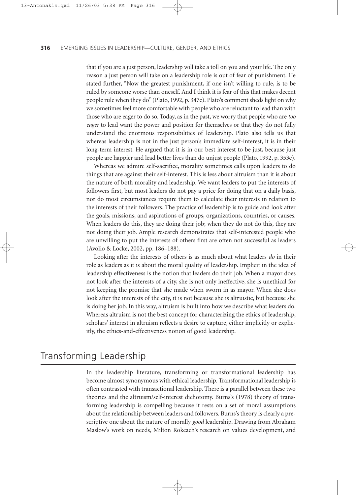that if you are a just person, leadership will take a toll on you and your life. The only reason a just person will take on a leadership role is out of fear of punishment. He stated further, "Now the greatest punishment, if one isn't willing to rule, is to be ruled by someone worse than oneself. And I think it is fear of this that makes decent people rule when they do" (Plato, 1992, p. 347c). Plato's comment sheds light on why we sometimes feel more comfortable with people who are reluctant to lead than with those who are eager to do so. Today, as in the past, we worry that people who are *too eager* to lead want the power and position for themselves or that they do not fully understand the enormous responsibilities of leadership. Plato also tells us that whereas leadership is not in the just person's immediate self-interest, it is in their long-term interest. He argued that it is in our best interest to be just, because just people are happier and lead better lives than do unjust people (Plato, 1992, p. 353e).

Whereas we admire self-sacrifice, morality sometimes calls upon leaders to do things that are against their self-interest. This is less about altruism than it is about the nature of both morality and leadership. We want leaders to put the interests of followers first, but most leaders do not pay a price for doing that on a daily basis, nor do most circumstances require them to calculate their interests in relation to the interests of their followers. The practice of leadership is to guide and look after the goals, missions, and aspirations of groups, organizations, countries, or causes. When leaders do this, they are doing their job; when they do not do this, they are not doing their job. Ample research demonstrates that self-interested people who are unwilling to put the interests of others first are often not successful as leaders (Avolio & Locke, 2002, pp. 186–188).

Looking after the interests of others is as much about what leaders *do* in their role as leaders as it is about the moral quality of leadership. Implicit in the idea of leadership effectiveness is the notion that leaders do their job. When a mayor does not look after the interests of a city, she is not only ineffective, she is unethical for not keeping the promise that she made when sworn in as mayor. When she does look after the interests of the city, it is not because she is altruistic, but because she is doing her job. In this way, altruism is built into how we describe what leaders do. Whereas altruism is not the best concept for characterizing the ethics of leadership, scholars' interest in altruism reflects a desire to capture, either implicitly or explicitly, the ethics-and-effectiveness notion of good leadership.

### Transforming Leadership

In the leadership literature, transforming or transformational leadership has become almost synonymous with ethical leadership. Transformational leadership is often contrasted with transactional leadership. There is a parallel between these two theories and the altruism/self-interest dichotomy. Burns's (1978) theory of transforming leadership is compelling because it rests on a set of moral assumptions about the relationship between leaders and followers. Burns's theory is clearly a prescriptive one about the nature of morally *good* leadership. Drawing from Abraham Maslow's work on needs, Milton Rokeach's research on values development, and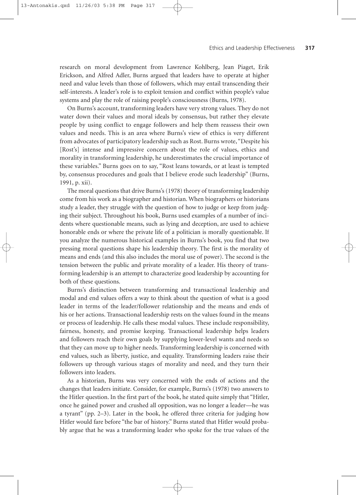research on moral development from Lawrence Kohlberg, Jean Piaget, Erik Erickson, and Alfred Adler, Burns argued that leaders have to operate at higher need and value levels than those of followers, which may entail transcending their self-interests. A leader's role is to exploit tension and conflict within people's value systems and play the role of raising people's consciousness (Burns, 1978).

On Burns's account, transforming leaders have very strong values. They do not water down their values and moral ideals by consensus, but rather they elevate people by using conflict to engage followers and help them reassess their own values and needs. This is an area where Burns's view of ethics is very different from advocates of participatory leadership such as Rost. Burns wrote, "Despite his [Rost's] intense and impressive concern about the role of values, ethics and morality in transforming leadership, he underestimates the crucial importance of these variables." Burns goes on to say, "Rost leans towards, or at least is tempted by, consensus procedures and goals that I believe erode such leadership" (Burns, 1991, p. xii).

The moral questions that drive Burns's (1978) theory of transforming leadership come from his work as a biographer and historian. When biographers or historians study a leader, they struggle with the question of how to judge or keep from judging their subject. Throughout his book, Burns used examples of a number of incidents where questionable means, such as lying and deception, are used to achieve honorable ends or where the private life of a politician is morally questionable. If you analyze the numerous historical examples in Burns's book, you find that two pressing moral questions shape his leadership theory. The first is the morality of means and ends (and this also includes the moral use of power). The second is the tension between the public and private morality of a leader. His theory of transforming leadership is an attempt to characterize good leadership by accounting for both of these questions.

Burns's distinction between transforming and transactional leadership and modal and end values offers a way to think about the question of what is a good leader in terms of the leader/follower relationship and the means and ends of his or her actions. Transactional leadership rests on the values found in the means or process of leadership. He calls these modal values. These include responsibility, fairness, honesty, and promise keeping. Transactional leadership helps leaders and followers reach their own goals by supplying lower-level wants and needs so that they can move up to higher needs. Transforming leadership is concerned with end values, such as liberty, justice, and equality. Transforming leaders raise their followers up through various stages of morality and need, and they turn their followers into leaders.

As a historian, Burns was very concerned with the ends of actions and the changes that leaders initiate. Consider, for example, Burns's (1978) two answers to the Hitler question. In the first part of the book, he stated quite simply that "Hitler, once he gained power and crushed all opposition, was no longer a leader—he was a tyrant" (pp. 2–3). Later in the book, he offered three criteria for judging how Hitler would fare before "the bar of history." Burns stated that Hitler would probably argue that he was a transforming leader who spoke for the true values of the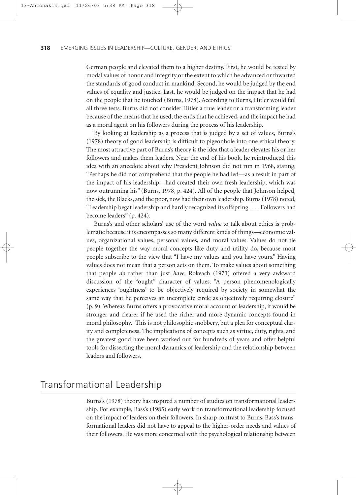German people and elevated them to a higher destiny. First, he would be tested by modal values of honor and integrity or the extent to which he advanced or thwarted the standards of good conduct in mankind. Second, he would be judged by the end values of equality and justice. Last, he would be judged on the impact that he had on the people that he touched (Burns, 1978). According to Burns, Hitler would fail all three tests. Burns did not consider Hitler a true leader or a transforming leader because of the means that he used, the ends that he achieved, and the impact he had as a moral agent on his followers during the process of his leadership.

By looking at leadership as a process that is judged by a set of values, Burns's (1978) theory of good leadership is difficult to pigeonhole into one ethical theory. The most attractive part of Burns's theory is the idea that a leader elevates his or her followers and makes them leaders. Near the end of his book, he reintroduced this idea with an anecdote about why President Johnson did not run in 1968, stating, "Perhaps he did not comprehend that the people he had led—as a result in part of the impact of his leadership—had created their own fresh leadership, which was now outrunning his" (Burns, 1978, p. 424). All of the people that Johnson helped, the sick, the Blacks, and the poor, now had their own leadership. Burns (1978) noted, "Leadership begat leadership and hardly recognized its offspring. . . . Followers had become leaders" (p. 424).

Burns's and other scholars' use of the word *value* to talk about ethics is problematic because it is encompasses so many different kinds of things—economic values, organizational values, personal values, and moral values. Values do not tie people together the way moral concepts like duty and utility do, because most people subscribe to the view that "I have my values and you have yours." Having values does not mean that a person acts on them. To make values about something that people *do* rather than just *have,* Rokeach (1973) offered a very awkward discussion of the "ought" character of values. "A person phenomenologically experiences 'oughtness' to be objectively required by society in somewhat the same way that he perceives an incomplete circle as objectively requiring closure" (p. 9). Whereas Burns offers a provocative moral account of leadership, it would be stronger and clearer if he used the richer and more dynamic concepts found in moral philosophy.1 This is not philosophic snobbery, but a plea for conceptual clarity and completeness. The implications of concepts such as virtue, duty, rights, and the greatest good have been worked out for hundreds of years and offer helpful tools for dissecting the moral dynamics of leadership and the relationship between leaders and followers.

### Transformational Leadership

Burns's (1978) theory has inspired a number of studies on transformational leadership. For example, Bass's (1985) early work on transformational leadership focused on the impact of leaders on their followers. In sharp contrast to Burns, Bass's transformational leaders did not have to appeal to the higher-order needs and values of their followers. He was more concerned with the psychological relationship between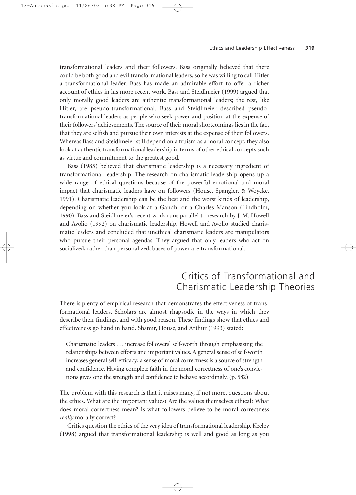transformational leaders and their followers. Bass originally believed that there could be both good and evil transformational leaders, so he was willing to call Hitler a transformational leader. Bass has made an admirable effort to offer a richer account of ethics in his more recent work. Bass and Steidlmeier (1999) argued that only morally good leaders are authentic transformational leaders; the rest, like Hitler, are pseudo-transformational. Bass and Steidlmeier described pseudotransformational leaders as people who seek power and position at the expense of their followers' achievements. The source of their moral shortcomings lies in the fact that they are selfish and pursue their own interests at the expense of their followers. Whereas Bass and Steidlmeier still depend on altruism as a moral concept, they also look at authentic transformational leadership in terms of other ethical concepts such as virtue and commitment to the greatest good.

Bass (1985) believed that charismatic leadership is a necessary ingredient of transformational leadership. The research on charismatic leadership opens up a wide range of ethical questions because of the powerful emotional and moral impact that charismatic leaders have on followers (House, Spangler, & Woycke, 1991). Charismatic leadership can be the best and the worst kinds of leadership, depending on whether you look at a Gandhi or a Charles Manson (Lindholm, 1990). Bass and Steidlmeier's recent work runs parallel to research by J. M. Howell and Avolio (1992) on charismatic leadership. Howell and Avolio studied charismatic leaders and concluded that unethical charismatic leaders are manipulators who pursue their personal agendas. They argued that only leaders who act on socialized, rather than personalized, bases of power are transformational.

### Critics of Transformational and Charismatic Leadership Theories

There is plenty of empirical research that demonstrates the effectiveness of transformational leaders. Scholars are almost rhapsodic in the ways in which they describe their findings, and with good reason. These findings show that ethics and effectiveness go hand in hand. Shamir, House, and Arthur (1993) stated:

Charismatic leaders . . . increase followers' self-worth through emphasizing the relationships between efforts and important values. A general sense of self-worth increases general self-efficacy; a sense of moral correctness is a source of strength and confidence. Having complete faith in the moral correctness of one's convictions gives one the strength and confidence to behave accordingly. (p. 582)

The problem with this research is that it raises many, if not more, questions about the ethics. What are the important values? Are the values themselves ethical? What does moral correctness mean? Is what followers believe to be moral correctness *really* morally correct?

Critics question the ethics of the very idea of transformational leadership. Keeley (1998) argued that transformational leadership is well and good as long as you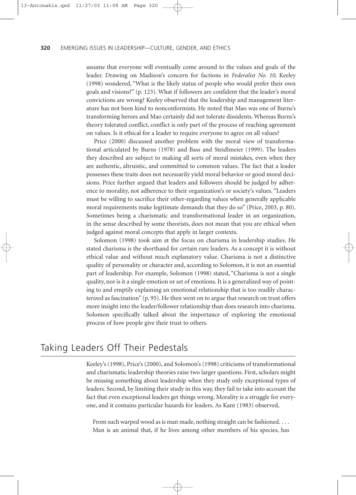assume that everyone will eventually come around to the values and goals of the leader. Drawing on Madison's concern for factions in *Federalist No. 10,* Keeley (1998) wondered, "What is the likely status of people who would prefer their own goals and visions?" (p. 123). What if followers are confident that the leader's moral convictions are wrong? Keeley observed that the leadership and management literature has not been kind to nonconformists. He noted that Mao was one of Burns's transforming heroes and Mao certainly did not tolerate dissidents. Whereas Burns's theory tolerated conflict, conflict is only part of the process of reaching agreement on values. Is it ethical for a leader to require everyone to agree on all values?

Price (2000) discussed another problem with the moral view of transformational articulated by Burns (1978) and Bass and Steidlmeier (1999). The leaders they described are subject to making all sorts of moral mistakes, even when they are authentic, altruistic, and committed to common values. The fact that a leader possesses these traits does not necessarily yield moral behavior or good moral decisions. Price further argued that leaders and followers should be judged by adherence to morality, not adherence to their organization's or society's values. "Leaders must be willing to sacrifice their other-regarding values when generally applicable moral requirements make legitimate demands that they do so" (Price, 2003, p. 80). Sometimes being a charismatic and transformational leader in an organization, in the sense described by some theorists, does not mean that you are ethical when judged against moral concepts that apply in larger contexts.

Solomon (1998) took aim at the focus on charisma in leadership studies. He stated charisma is the shorthand for certain rare leaders. As a concept it is without ethical value and without much explanatory value. Charisma is not a distinctive quality of personality or character and, according to Solomon, it is not an essential part of leadership. For example, Solomon (1998) stated, "Charisma is not a single quality, nor is it a single emotion or set of emotions. It is a generalized way of pointing to and emptily explaining an emotional relationship that is too readily characterized as fascination" (p. 95). He then went on to argue that research on trust offers more insight into the leader/follower relationship than does research into charisma. Solomon specifically talked about the importance of exploring the emotional process of how people give their trust to others.

### Taking Leaders Off Their Pedestals

Keeley's (1998), Price's (2000), and Solomon's (1998) criticisms of transformational and charismatic leadership theories raise two larger questions. First, scholars might be missing something about leadership when they study only exceptional types of leaders. Second, by limiting their study in this way, they fail to take into account the fact that even exceptional leaders get things wrong. Morality is a struggle for everyone, and it contains particular hazards for leaders. As Kant (1983) observed,

From such warped wood as is man made, nothing straight can be fashioned. . . . Man is an animal that, if he lives among other members of his species, has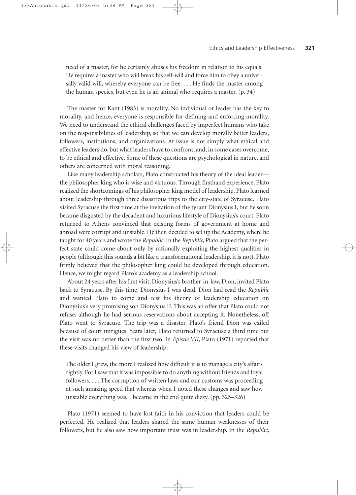need of a master, for he certainly abuses his freedom in relation to his equals. He requires a master who will break his self-will and force him to obey a universally valid will, whereby everyone can be free. . . . He finds the master among the human species, but even he is an animal who requires a master. (p. 34)

The master for Kant (1983) is morality. No individual or leader has the key to morality, and hence, everyone is responsible for defining and enforcing morality. We need to understand the ethical challenges faced by imperfect humans who take on the responsibilities of leadership, so that we can develop morally better leaders, followers, institutions, and organizations. At issue is not simply what ethical and effective leaders do, but what leaders have to confront, and, in some cases overcome, to be ethical and effective. Some of these questions are psychological in nature, and others are concerned with moral reasoning.

Like many leadership scholars, Plato constructed his theory of the ideal leader the philosopher king who is wise and virtuous. Through firsthand experience, Plato realized the shortcomings of his philosopher king model of leadership. Plato learned about leadership through three disastrous trips to the city-state of Syracuse. Plato visited Syracuse the first time at the invitation of the tyrant Dionysius I, but he soon became disgusted by the decadent and luxurious lifestyle of Dionysius's court. Plato returned to Athens convinced that existing forms of government at home and abroad were corrupt and unstable. He then decided to set up the Academy, where he taught for 40 years and wrote the *Republic.* In the *Republic,* Plato argued that the perfect state could come about only by rationally exploiting the highest qualities in people (although this sounds a bit like a transformational leadership, it is not). Plato firmly believed that the philosopher king could be developed through education. Hence, we might regard Plato's academy as a leadership school.

About 24 years after his first visit, Dionysius's brother-in-law, Dion, invited Plato back to Syracuse. By this time, Dionysius I was dead. Dion had read the *Republic* and wanted Plato to come and test his theory of leadership education on Dionysius's very promising son Dionysius II. This was an offer that Plato could not refuse, although he had serious reservations about accepting it. Nonetheless, off Plato went to Syracuse. The trip was a disaster. Plato's friend Dion was exiled because of court intrigues. Years later, Plato returned to Syracuse a third time but the visit was no better than the first two. In *Epistle VII,* Plato (1971) reported that these visits changed his view of leadership:

The older I grew, the more I realized how difficult it is to manage a city's affairs rightly. For I saw that it was impossible to do anything without friends and loyal followers. . . . The corruption of written laws and our customs was proceeding at such amazing speed that whereas when I noted these changes and saw how unstable everything was, I became in the end quite dizzy. (pp. 325–326)

Plato (1971) seemed to have lost faith in his conviction that leaders could be perfected. He realized that leaders shared the same human weaknesses of their followers, but he also saw how important trust was in leadership. In the *Republic,*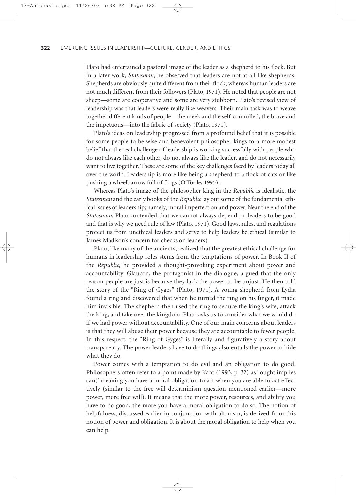Plato had entertained a pastoral image of the leader as a shepherd to his flock. But in a later work, *Statesman,* he observed that leaders are not at all like shepherds. Shepherds are obviously quite different from their flock, whereas human leaders are not much different from their followers (Plato, 1971). He noted that people are not sheep—some are cooperative and some are very stubborn. Plato's revised view of leadership was that leaders were really like weavers. Their main task was to weave together different kinds of people—the meek and the self-controlled, the brave and the impetuous—into the fabric of society (Plato, 1971).

Plato's ideas on leadership progressed from a profound belief that it is possible for some people to be wise and benevolent philosopher kings to a more modest belief that the real challenge of leadership is working successfully with people who do not always like each other, do not always like the leader, and do not necessarily want to live together. These are some of the key challenges faced by leaders today all over the world. Leadership is more like being a shepherd to a flock of cats or like pushing a wheelbarrow full of frogs (O'Toole, 1995).

Whereas Plato's image of the philosopher king in the *Republic* is idealistic, the *Statesman* and the early books of the *Republic* lay out some of the fundamental ethical issues of leadership; namely, moral imperfection and power. Near the end of the *Statesman,* Plato contended that we cannot always depend on leaders to be good and that is why we need rule of law (Plato, 1971). Good laws, rules, and regulations protect us from unethical leaders and serve to help leaders be ethical (similar to James Madison's concern for checks on leaders).

Plato, like many of the ancients, realized that the greatest ethical challenge for humans in leadership roles stems from the temptations of power. In Book II of the *Republic,* he provided a thought-provoking experiment about power and accountability. Glaucon, the protagonist in the dialogue, argued that the only reason people are just is because they lack the power to be unjust. He then told the story of the "Ring of Gyges" (Plato, 1971). A young shepherd from Lydia found a ring and discovered that when he turned the ring on his finger, it made him invisible. The shepherd then used the ring to seduce the king's wife, attack the king, and take over the kingdom. Plato asks us to consider what we would do if we had power without accountability. One of our main concerns about leaders is that they will abuse their power because they are accountable to fewer people. In this respect, the "Ring of Gyges" is literally and figuratively a story about transparency. The power leaders have to do things also entails the power to hide what they do.

Power comes with a temptation to do evil and an obligation to do good. Philosophers often refer to a point made by Kant (1993, p. 32) as "ought implies can," meaning you have a moral obligation to act when you are able to act effectively (similar to the free will determinism question mentioned earlier—more power, more free will). It means that the more power, resources, and ability you have to do good, the more you have a moral obligation to do so. The notion of helpfulness, discussed earlier in conjunction with altruism, is derived from this notion of power and obligation. It is about the moral obligation to help when you can help.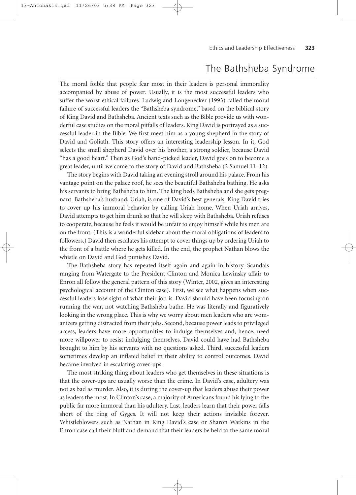### The Bathsheba Syndrome

The moral foible that people fear most in their leaders is personal immorality accompanied by abuse of power. Usually, it is the most successful leaders who suffer the worst ethical failures. Ludwig and Longenecker (1993) called the moral failure of successful leaders the "Bathsheba syndrome," based on the biblical story of King David and Bathsheba. Ancient texts such as the Bible provide us with wonderful case studies on the moral pitfalls of leaders. King David is portrayed as a successful leader in the Bible*.* We first meet him as a young shepherd in the story of David and Goliath. This story offers an interesting leadership lesson. In it, God selects the small shepherd David over his brother, a strong soldier, because David "has a good heart." Then as God's hand-picked leader, David goes on to become a great leader, until we come to the story of David and Bathsheba (2 Samuel 11–12).

The story begins with David taking an evening stroll around his palace. From his vantage point on the palace roof, he sees the beautiful Bathsheba bathing. He asks his servants to bring Bathsheba to him. The king beds Bathsheba and she gets pregnant. Bathsheba's husband, Uriah, is one of David's best generals. King David tries to cover up his immoral behavior by calling Uriah home. When Uriah arrives, David attempts to get him drunk so that he will sleep with Bathsheba. Uriah refuses to cooperate, because he feels it would be unfair to enjoy himself while his men are on the front. (This is a wonderful sidebar about the moral obligations of leaders to followers.) David then escalates his attempt to cover things up by ordering Uriah to the front of a battle where he gets killed. In the end, the prophet Nathan blows the whistle on David and God punishes David.

The Bathsheba story has repeated itself again and again in history. Scandals ranging from Watergate to the President Clinton and Monica Lewinsky affair to Enron all follow the general pattern of this story (Winter, 2002, gives an interesting psychological account of the Clinton case). First, we see what happens when successful leaders lose sight of what their job is. David should have been focusing on running the war, not watching Bathsheba bathe. He was literally and figuratively looking in the wrong place. This is why we worry about men leaders who are womanizers getting distracted from their jobs. Second, because power leads to privileged access, leaders have more opportunities to indulge themselves and, hence, need more willpower to resist indulging themselves. David could have had Bathsheba brought to him by his servants with no questions asked. Third, successful leaders sometimes develop an inflated belief in their ability to control outcomes. David became involved in escalating cover-ups.

The most striking thing about leaders who get themselves in these situations is that the cover-ups are usually worse than the crime. In David's case, adultery was not as bad as murder. Also, it is during the cover-up that leaders abuse their power as leaders the most. In Clinton's case, a majority of Americans found his lying to the public far more immoral than his adultery. Last, leaders learn that their power falls short of the ring of Gyges. It will not keep their actions invisible forever. Whistleblowers such as Nathan in King David's case or Sharon Watkins in the Enron case call their bluff and demand that their leaders be held to the same moral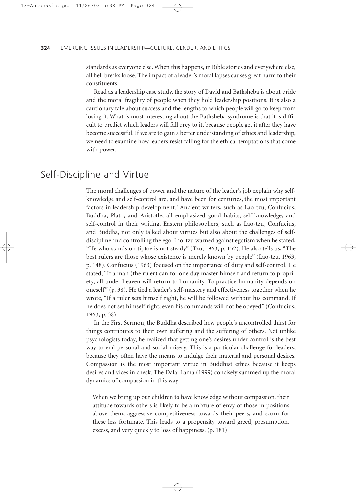standards as everyone else. When this happens, in Bible stories and everywhere else, all hell breaks loose. The impact of a leader's moral lapses causes great harm to their constituents.

Read as a leadership case study, the story of David and Bathsheba is about pride and the moral fragility of people when they hold leadership positions. It is also a cautionary tale about success and the lengths to which people will go to keep from losing it. What is most interesting about the Bathsheba syndrome is that it is difficult to predict which leaders will fall prey to it, because people get it after they have become successful. If we are to gain a better understanding of ethics and leadership, we need to examine how leaders resist falling for the ethical temptations that come with power.

### Self-Discipline and Virtue

The moral challenges of power and the nature of the leader's job explain why selfknowledge and self-control are, and have been for centuries, the most important factors in leadership development.<sup>2</sup> Ancient writers, such as Lao-tzu, Confucius, Buddha, Plato, and Aristotle, all emphasized good habits, self-knowledge, and self-control in their writing. Eastern philosophers, such as Lao-tzu, Confucius, and Buddha, not only talked about virtues but also about the challenges of selfdiscipline and controlling the ego. Lao-tzu warned against egotism when he stated, "He who stands on tiptoe is not steady" (Tzu, 1963, p. 152). He also tells us, "The best rulers are those whose existence is merely known by people" (Lao-tzu, 1963, p. 148). Confucius (1963) focused on the importance of duty and self-control. He stated, "If a man (the ruler) can for one day master himself and return to propriety, all under heaven will return to humanity. To practice humanity depends on oneself" (p. 38). He tied a leader's self-mastery and effectiveness together when he wrote, "If a ruler sets himself right, he will be followed without his command. If he does not set himself right, even his commands will not be obeyed" (Confucius, 1963, p. 38).

In the First Sermon, the Buddha described how people's uncontrolled thirst for things contributes to their own suffering and the suffering of others. Not unlike psychologists today, he realized that getting one's desires under control is the best way to end personal and social misery. This is a particular challenge for leaders, because they often have the means to indulge their material and personal desires. Compassion is the most important virtue in Buddhist ethics because it keeps desires and vices in check. The Dalai Lama (1999) concisely summed up the moral dynamics of compassion in this way:

When we bring up our children to have knowledge without compassion, their attitude towards others is likely to be a mixture of envy of those in positions above them, aggressive competitiveness towards their peers, and scorn for these less fortunate. This leads to a propensity toward greed, presumption, excess, and very quickly to loss of happiness. (p. 181)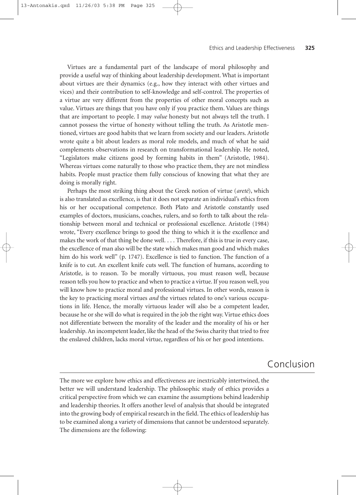Virtues are a fundamental part of the landscape of moral philosophy and provide a useful way of thinking about leadership development. What is important about virtues are their dynamics (e.g., how they interact with other virtues and vices) and their contribution to self-knowledge and self-control. The properties of a virtue are very different from the properties of other moral concepts such as value. Virtues are things that you have only if you practice them. Values are things that are important to people. I may *value* honesty but not always tell the truth. I cannot possess the virtue of honesty without telling the truth. As Aristotle mentioned, virtues are good habits that we learn from society and our leaders. Aristotle wrote quite a bit about leaders as moral role models, and much of what he said complements observations in research on transformational leadership. He noted, "Legislators make citizens good by forming habits in them" (Aristotle, 1984). Whereas virtues come naturally to those who practice them, they are not mindless habits. People must practice them fully conscious of knowing that what they are doing is morally right.

Perhaps the most striking thing about the Greek notion of virtue (*areté*), which is also translated as excellence, is that it does not separate an individual's ethics from his or her occupational competence. Both Plato and Aristotle constantly used examples of doctors, musicians, coaches, rulers, and so forth to talk about the relationship between moral and technical or professional excellence. Aristotle (1984) wrote, "Every excellence brings to good the thing to which it is the excellence and makes the work of that thing be done well. . . . Therefore, if this is true in every case, the excellence of man also will be the state which makes man good and which makes him do his work well" (p. 1747). Excellence is tied to function. The function of a knife is to cut. An excellent knife cuts well. The function of humans, according to Aristotle, is to reason. To be morally virtuous, you must reason well, because reason tells you how to practice and when to practice a virtue. If you reason well, you will know how to practice moral and professional virtues. In other words, reason is the key to practicing moral virtues *and* the virtues related to one's various occupations in life. Hence, the morally virtuous leader will also be a competent leader, because he or she will do what is required in the job the right way. Virtue ethics does not differentiate between the morality of the leader and the morality of his or her leadership. An incompetent leader, like the head of the Swiss charity that tried to free the enslaved children, lacks moral virtue, regardless of his or her good intentions.

### Conclusion

The more we explore how ethics and effectiveness are inextricably intertwined, the better we will understand leadership. The philosophic study of ethics provides a critical perspective from which we can examine the assumptions behind leadership and leadership theories. It offers another level of analysis that should be integrated into the growing body of empirical research in the field. The ethics of leadership has to be examined along a variety of dimensions that cannot be understood separately. The dimensions are the following: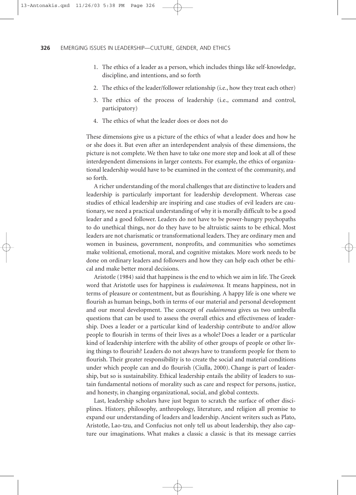- 1. The ethics of a leader as a person, which includes things like self-knowledge, discipline, and intentions, and so forth
- 2. The ethics of the leader/follower relationship (i.e., how they treat each other)
- 3. The ethics of the process of leadership (i.e., command and control, participatory)
- 4. The ethics of what the leader does or does not do

These dimensions give us a picture of the ethics of what a leader does and how he or she does it. But even after an interdependent analysis of these dimensions, the picture is not complete. We then have to take one more step and look at all of these interdependent dimensions in larger contexts. For example, the ethics of organizational leadership would have to be examined in the context of the community, and so forth.

A richer understanding of the moral challenges that are distinctive to leaders and leadership is particularly important for leadership development. Whereas case studies of ethical leadership are inspiring and case studies of evil leaders are cautionary, we need a practical understanding of why it is morally difficult to be a good leader and a good follower. Leaders do not have to be power-hungry psychopaths to do unethical things, nor do they have to be altruistic saints to be ethical. Most leaders are not charismatic or transformational leaders. They are ordinary men and women in business, government, nonprofits, and communities who sometimes make volitional, emotional, moral, and cognitive mistakes. More work needs to be done on ordinary leaders and followers and how they can help each other be ethical and make better moral decisions.

Aristotle (1984) said that happiness is the end to which we aim in life. The Greek word that Aristotle uses for happiness is *eudaimonea.* It means happiness, not in terms of pleasure or contentment, but as flourishing. A happy life is one where we flourish as human beings, both in terms of our material and personal development and our moral development. The concept of *eudaimonea* gives us two umbrella questions that can be used to assess the overall ethics and effectiveness of leadership. Does a leader or a particular kind of leadership contribute to and/or allow people to flourish in terms of their lives as a whole? Does a leader or a particular kind of leadership interfere with the ability of other groups of people or other living things to flourish? Leaders do not always have to transform people for them to flourish. Their greater responsibility is to create the social and material conditions under which people can and do flourish (Ciulla, 2000). Change is part of leadership, but so is sustainability. Ethical leadership entails the ability of leaders to sustain fundamental notions of morality such as care and respect for persons, justice, and honesty, in changing organizational, social, and global contexts.

Last, leadership scholars have just begun to scratch the surface of other disciplines. History, philosophy, anthropology, literature, and religion all promise to expand our understanding of leaders and leadership. Ancient writers such as Plato, Aristotle, Lao-tzu, and Confucius not only tell us about leadership, they also capture our imaginations. What makes a classic a classic is that its message carries